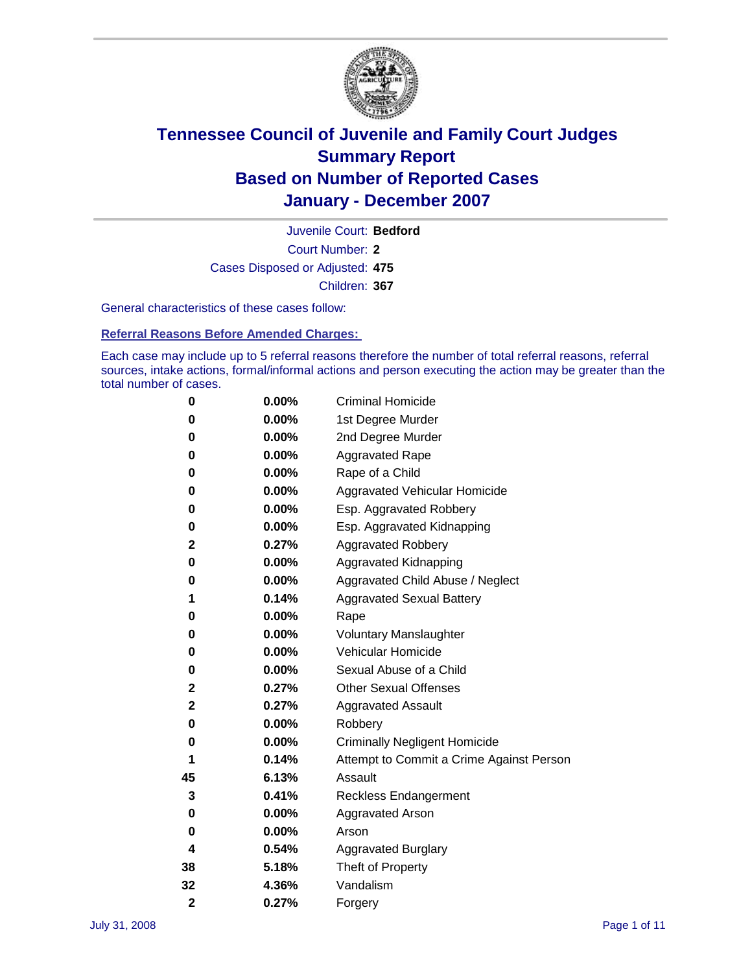

Court Number: **2** Juvenile Court: **Bedford** Cases Disposed or Adjusted: **475** Children: **367**

General characteristics of these cases follow:

**Referral Reasons Before Amended Charges:** 

Each case may include up to 5 referral reasons therefore the number of total referral reasons, referral sources, intake actions, formal/informal actions and person executing the action may be greater than the total number of cases.

| 0              | 0.00%    | <b>Criminal Homicide</b>                 |
|----------------|----------|------------------------------------------|
| 0              | 0.00%    | 1st Degree Murder                        |
| 0              | $0.00\%$ | 2nd Degree Murder                        |
| 0              | 0.00%    | <b>Aggravated Rape</b>                   |
| 0              | 0.00%    | Rape of a Child                          |
| 0              | 0.00%    | Aggravated Vehicular Homicide            |
| 0              | 0.00%    | Esp. Aggravated Robbery                  |
| 0              | 0.00%    | Esp. Aggravated Kidnapping               |
| 2              | 0.27%    | <b>Aggravated Robbery</b>                |
| 0              | $0.00\%$ | Aggravated Kidnapping                    |
| 0              | 0.00%    | Aggravated Child Abuse / Neglect         |
| 1              | 0.14%    | <b>Aggravated Sexual Battery</b>         |
| 0              | 0.00%    | Rape                                     |
| 0              | 0.00%    | <b>Voluntary Manslaughter</b>            |
| 0              | 0.00%    | Vehicular Homicide                       |
| 0              | 0.00%    | Sexual Abuse of a Child                  |
| 2              | 0.27%    | <b>Other Sexual Offenses</b>             |
| 2              | 0.27%    | <b>Aggravated Assault</b>                |
| 0              | $0.00\%$ | Robbery                                  |
| 0              | 0.00%    | <b>Criminally Negligent Homicide</b>     |
| 1              | 0.14%    | Attempt to Commit a Crime Against Person |
| 45             | 6.13%    | Assault                                  |
| 3              | 0.41%    | Reckless Endangerment                    |
| 0              | 0.00%    | Aggravated Arson                         |
| 0              | 0.00%    | Arson                                    |
| 4              | 0.54%    | <b>Aggravated Burglary</b>               |
| 38             | 5.18%    | Theft of Property                        |
| 32             | 4.36%    | Vandalism                                |
| $\overline{2}$ | 0.27%    | Forgery                                  |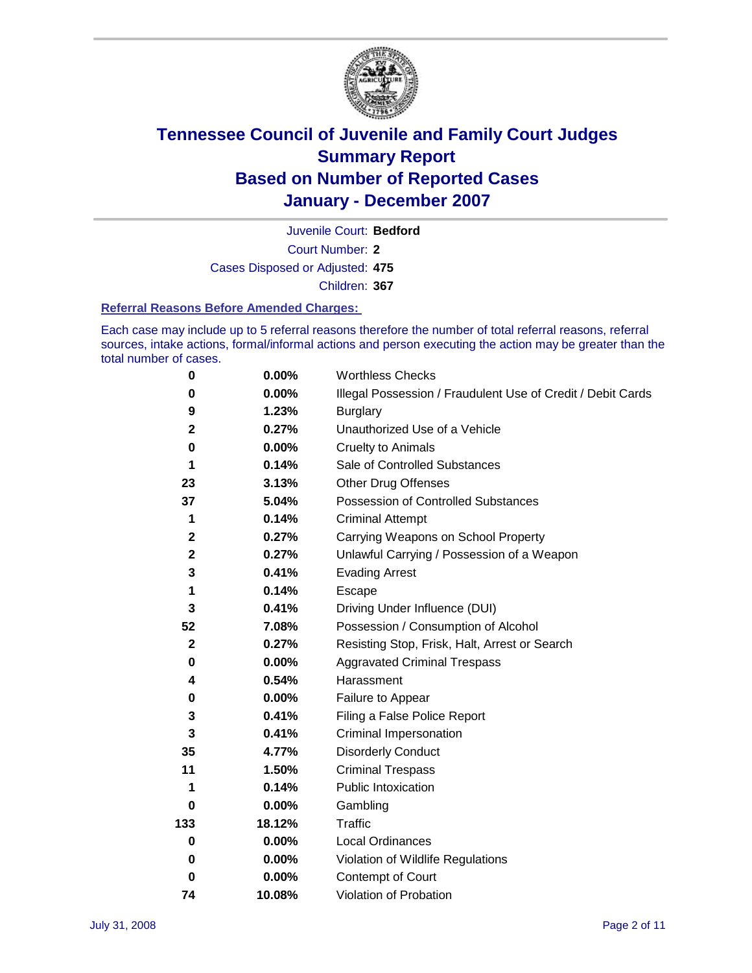

Court Number: **2** Juvenile Court: **Bedford** Cases Disposed or Adjusted: **475** Children: **367**

#### **Referral Reasons Before Amended Charges:**

Each case may include up to 5 referral reasons therefore the number of total referral reasons, referral sources, intake actions, formal/informal actions and person executing the action may be greater than the total number of cases.

| 0            | 0.00%    | <b>Worthless Checks</b>                                     |
|--------------|----------|-------------------------------------------------------------|
| 0            | 0.00%    | Illegal Possession / Fraudulent Use of Credit / Debit Cards |
| 9            | 1.23%    | <b>Burglary</b>                                             |
| $\mathbf 2$  | 0.27%    | Unauthorized Use of a Vehicle                               |
| 0            | 0.00%    | <b>Cruelty to Animals</b>                                   |
| 1            | 0.14%    | Sale of Controlled Substances                               |
| 23           | 3.13%    | <b>Other Drug Offenses</b>                                  |
| 37           | 5.04%    | Possession of Controlled Substances                         |
| 1            | 0.14%    | <b>Criminal Attempt</b>                                     |
| $\mathbf 2$  | 0.27%    | Carrying Weapons on School Property                         |
| $\mathbf{2}$ | 0.27%    | Unlawful Carrying / Possession of a Weapon                  |
| 3            | 0.41%    | <b>Evading Arrest</b>                                       |
| 1            | 0.14%    | Escape                                                      |
| 3            | 0.41%    | Driving Under Influence (DUI)                               |
| 52           | 7.08%    | Possession / Consumption of Alcohol                         |
| $\mathbf 2$  | 0.27%    | Resisting Stop, Frisk, Halt, Arrest or Search               |
| 0            | 0.00%    | <b>Aggravated Criminal Trespass</b>                         |
| 4            | 0.54%    | Harassment                                                  |
| 0            | 0.00%    | Failure to Appear                                           |
| 3            | 0.41%    | Filing a False Police Report                                |
| 3            | 0.41%    | Criminal Impersonation                                      |
| 35           | 4.77%    | <b>Disorderly Conduct</b>                                   |
| 11           | 1.50%    | <b>Criminal Trespass</b>                                    |
| 1            | 0.14%    | <b>Public Intoxication</b>                                  |
| 0            | 0.00%    | Gambling                                                    |
| 133          | 18.12%   | Traffic                                                     |
| $\bf{0}$     | $0.00\%$ | <b>Local Ordinances</b>                                     |
| 0            | $0.00\%$ | Violation of Wildlife Regulations                           |
| 0            | 0.00%    | Contempt of Court                                           |
| 74           | 10.08%   | Violation of Probation                                      |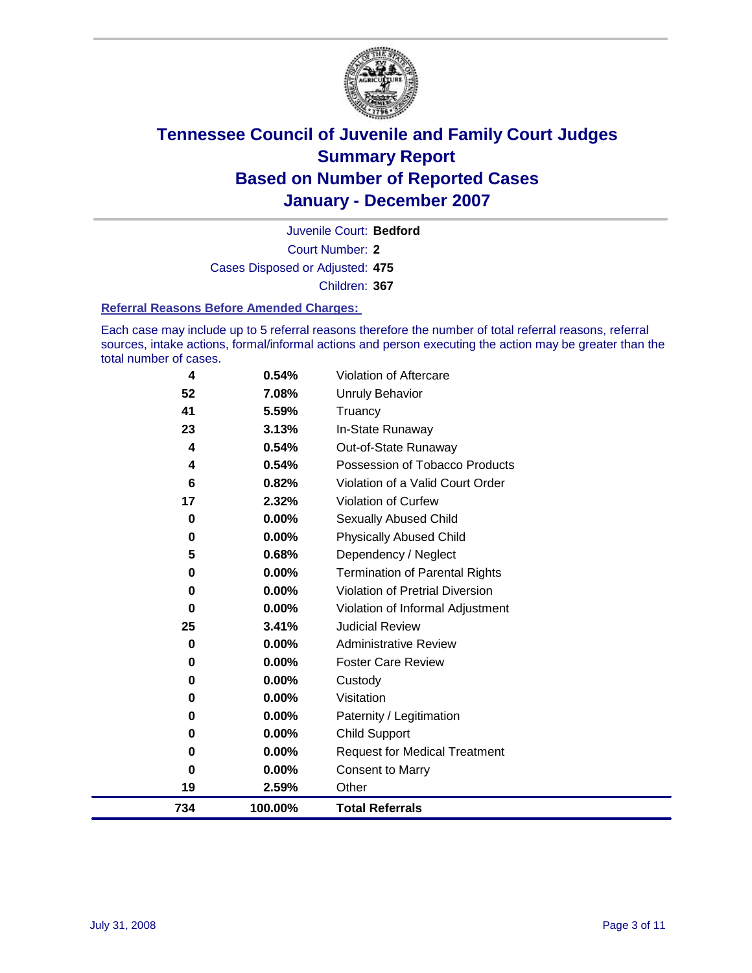

Court Number: **2** Juvenile Court: **Bedford** Cases Disposed or Adjusted: **475** Children: **367**

#### **Referral Reasons Before Amended Charges:**

Each case may include up to 5 referral reasons therefore the number of total referral reasons, referral sources, intake actions, formal/informal actions and person executing the action may be greater than the total number of cases.

| 734      | 100.00%  | <b>Total Referrals</b>                 |
|----------|----------|----------------------------------------|
| 19       | 2.59%    | Other                                  |
| $\bf{0}$ | 0.00%    | <b>Consent to Marry</b>                |
| 0        | 0.00%    | <b>Request for Medical Treatment</b>   |
| 0        | $0.00\%$ | <b>Child Support</b>                   |
| 0        | 0.00%    | Paternity / Legitimation               |
| 0        | 0.00%    | Visitation                             |
| 0        | 0.00%    | Custody                                |
| 0        | 0.00%    | <b>Foster Care Review</b>              |
| 0        | $0.00\%$ | <b>Administrative Review</b>           |
| 25       | 3.41%    | <b>Judicial Review</b>                 |
| 0        | 0.00%    | Violation of Informal Adjustment       |
| 0        | $0.00\%$ | <b>Violation of Pretrial Diversion</b> |
| 0        | 0.00%    | <b>Termination of Parental Rights</b>  |
| 5        | 0.68%    | Dependency / Neglect                   |
| $\bf{0}$ | 0.00%    | <b>Physically Abused Child</b>         |
| 0        | 0.00%    | <b>Sexually Abused Child</b>           |
| 17       | 2.32%    | Violation of Curfew                    |
| 6        | 0.82%    | Violation of a Valid Court Order       |
| 4        | 0.54%    | Possession of Tobacco Products         |
| 4        | 0.54%    | Out-of-State Runaway                   |
| 23       | 3.13%    | In-State Runaway                       |
| 41       | 5.59%    | Truancy                                |
| 52       | 7.08%    | <b>Unruly Behavior</b>                 |
| 4        | 0.54%    | Violation of Aftercare                 |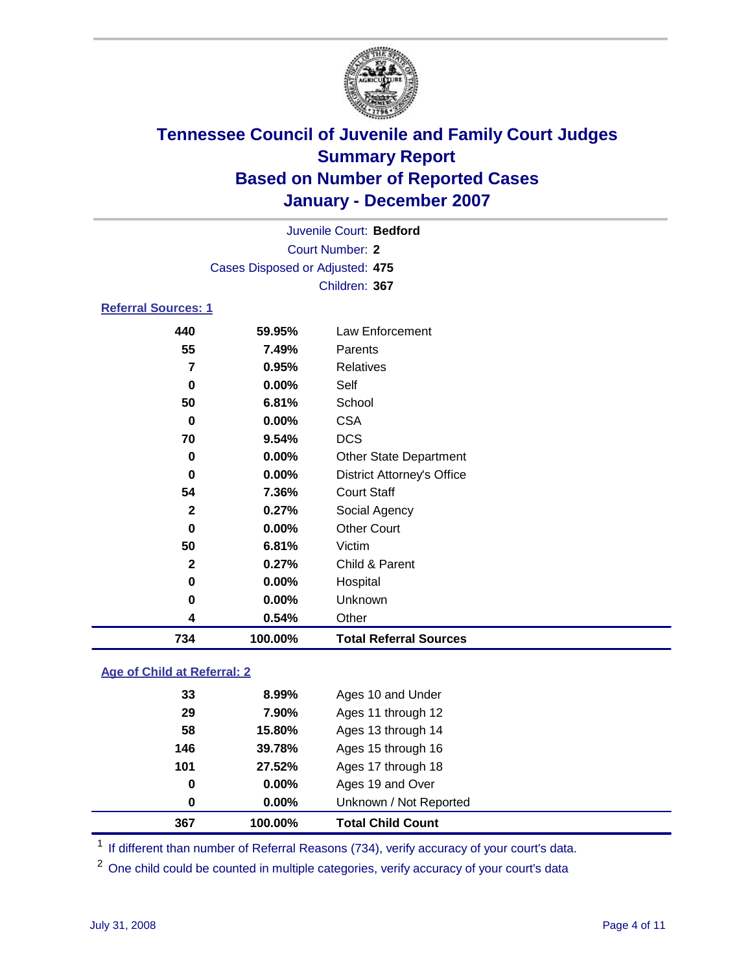

| Juvenile Court: Bedford         |
|---------------------------------|
| Court Number: 2                 |
| Cases Disposed or Adjusted: 475 |
| Children: 367                   |
|                                 |

#### **Referral Sources: 1**

| 734          | 100.00% | <b>Total Referral Sources</b>     |  |
|--------------|---------|-----------------------------------|--|
| 4            | 0.54%   | Other                             |  |
| 0            | 0.00%   | Unknown                           |  |
| 0            | 0.00%   | Hospital                          |  |
| $\mathbf{2}$ | 0.27%   | Child & Parent                    |  |
| 50           | 6.81%   | Victim                            |  |
| $\bf{0}$     | 0.00%   | <b>Other Court</b>                |  |
| $\mathbf{2}$ | 0.27%   | Social Agency                     |  |
| 54           | 7.36%   | <b>Court Staff</b>                |  |
| $\bf{0}$     | 0.00%   | <b>District Attorney's Office</b> |  |
| $\bf{0}$     | 0.00%   | <b>Other State Department</b>     |  |
| 70           | 9.54%   | <b>DCS</b>                        |  |
| 0            | 0.00%   | <b>CSA</b>                        |  |
| 50           | 6.81%   | School                            |  |
| 0            | 0.00%   | Self                              |  |
| 7            | 0.95%   | Relatives                         |  |
| 55           | 7.49%   | Parents                           |  |
| 440          | 59.95%  | Law Enforcement                   |  |

### **Age of Child at Referral: 2**

| 367 | 100.00%  | <b>Total Child Count</b> |  |
|-----|----------|--------------------------|--|
| 0   | $0.00\%$ | Unknown / Not Reported   |  |
| 0   | 0.00%    | Ages 19 and Over         |  |
| 101 | 27.52%   | Ages 17 through 18       |  |
| 146 | 39.78%   | Ages 15 through 16       |  |
| 58  | 15.80%   | Ages 13 through 14       |  |
| 29  | 7.90%    | Ages 11 through 12       |  |
| 33  | 8.99%    | Ages 10 and Under        |  |
|     |          |                          |  |

<sup>1</sup> If different than number of Referral Reasons (734), verify accuracy of your court's data.

One child could be counted in multiple categories, verify accuracy of your court's data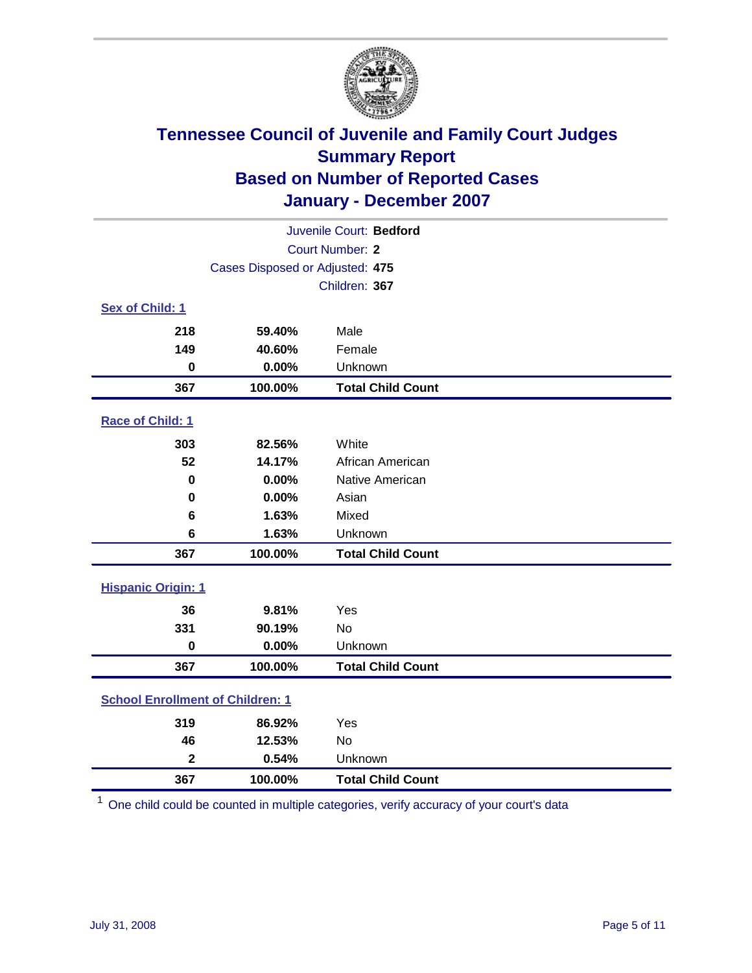

| Juvenile Court: Bedford                 |                                 |                          |  |  |  |
|-----------------------------------------|---------------------------------|--------------------------|--|--|--|
| <b>Court Number: 2</b>                  |                                 |                          |  |  |  |
|                                         | Cases Disposed or Adjusted: 475 |                          |  |  |  |
|                                         |                                 | Children: 367            |  |  |  |
| Sex of Child: 1                         |                                 |                          |  |  |  |
| 218                                     | 59.40%                          | Male                     |  |  |  |
| 149                                     | 40.60%                          | Female                   |  |  |  |
| $\bf{0}$                                | 0.00%                           | Unknown                  |  |  |  |
| 367                                     | 100.00%                         | <b>Total Child Count</b> |  |  |  |
| Race of Child: 1                        |                                 |                          |  |  |  |
| 303                                     | 82.56%                          | White                    |  |  |  |
| 52                                      | 14.17%                          | African American         |  |  |  |
| 0                                       | 0.00%                           | Native American          |  |  |  |
| $\bf{0}$                                | 0.00%                           | Asian                    |  |  |  |
| 6                                       | 1.63%                           | Mixed                    |  |  |  |
| 6                                       | 1.63%                           | Unknown                  |  |  |  |
| 367                                     | 100.00%                         | <b>Total Child Count</b> |  |  |  |
| <b>Hispanic Origin: 1</b>               |                                 |                          |  |  |  |
| 36                                      | 9.81%                           | Yes                      |  |  |  |
| 331                                     | 90.19%                          | <b>No</b>                |  |  |  |
| $\mathbf 0$                             | 0.00%                           | Unknown                  |  |  |  |
| 367                                     | 100.00%                         | <b>Total Child Count</b> |  |  |  |
| <b>School Enrollment of Children: 1</b> |                                 |                          |  |  |  |
| 319                                     | 86.92%                          | Yes                      |  |  |  |
| 46                                      | 12.53%                          | No                       |  |  |  |
| $\overline{\mathbf{2}}$                 | 0.54%                           | Unknown                  |  |  |  |
| 367                                     | 100.00%                         | <b>Total Child Count</b> |  |  |  |

One child could be counted in multiple categories, verify accuracy of your court's data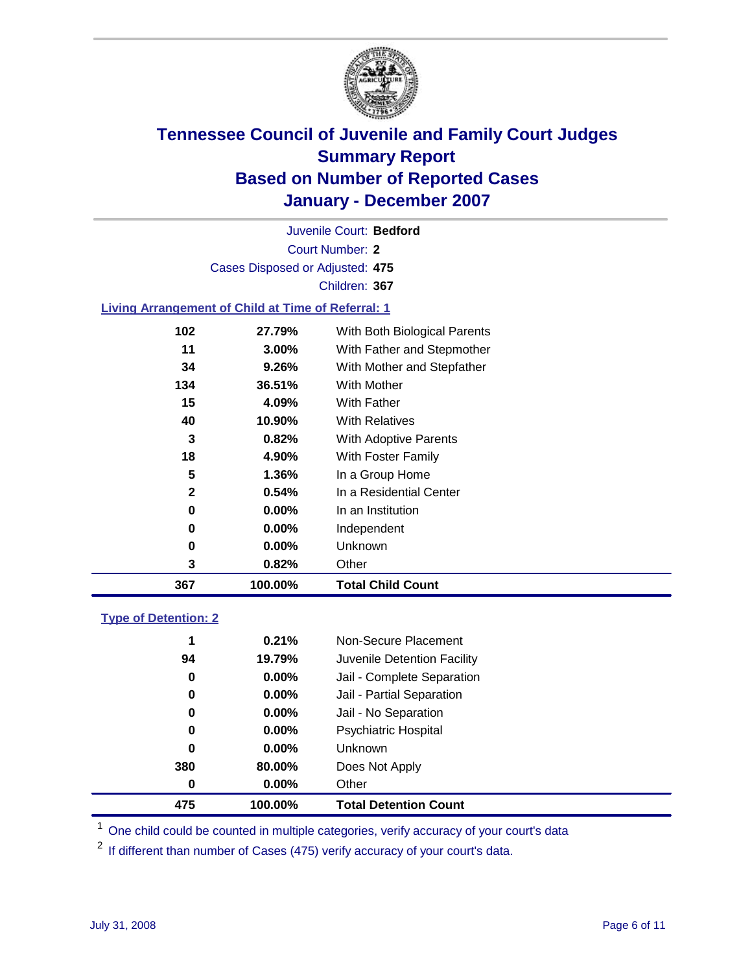

Court Number: **2** Juvenile Court: **Bedford** Cases Disposed or Adjusted: **475** Children: **367**

#### **Living Arrangement of Child at Time of Referral: 1**

| 367 | 100.00%               | <b>Total Child Count</b> |                              |
|-----|-----------------------|--------------------------|------------------------------|
|     | 3<br>0.82%            | Other                    |                              |
|     | $0.00\%$<br>0         | <b>Unknown</b>           |                              |
|     | $0.00\%$<br>0         | Independent              |                              |
|     | $0.00\%$<br>0         | In an Institution        |                              |
|     | $\mathbf{2}$<br>0.54% | In a Residential Center  |                              |
|     | 5<br>1.36%            | In a Group Home          |                              |
|     | 18<br>4.90%           | With Foster Family       |                              |
|     | 3<br>0.82%            | With Adoptive Parents    |                              |
|     | 40<br>10.90%          | <b>With Relatives</b>    |                              |
|     | 15<br>4.09%           | With Father              |                              |
| 134 | 36.51%                | With Mother              |                              |
|     | 34<br>9.26%           |                          | With Mother and Stepfather   |
|     | 11<br>$3.00\%$        |                          | With Father and Stepmother   |
| 102 | 27.79%                |                          | With Both Biological Parents |
|     |                       |                          |                              |

#### **Type of Detention: 2**

| 475 | 100.00%  | <b>Total Detention Count</b> |  |
|-----|----------|------------------------------|--|
| 0   | 0.00%    | Other                        |  |
| 380 | 80.00%   | Does Not Apply               |  |
| 0   | $0.00\%$ | <b>Unknown</b>               |  |
| 0   | 0.00%    | <b>Psychiatric Hospital</b>  |  |
| 0   | $0.00\%$ | Jail - No Separation         |  |
| 0   | $0.00\%$ | Jail - Partial Separation    |  |
| 0   | $0.00\%$ | Jail - Complete Separation   |  |
| 94  | 19.79%   | Juvenile Detention Facility  |  |
| 1   | 0.21%    | Non-Secure Placement         |  |
|     |          |                              |  |

<sup>1</sup> One child could be counted in multiple categories, verify accuracy of your court's data

<sup>2</sup> If different than number of Cases (475) verify accuracy of your court's data.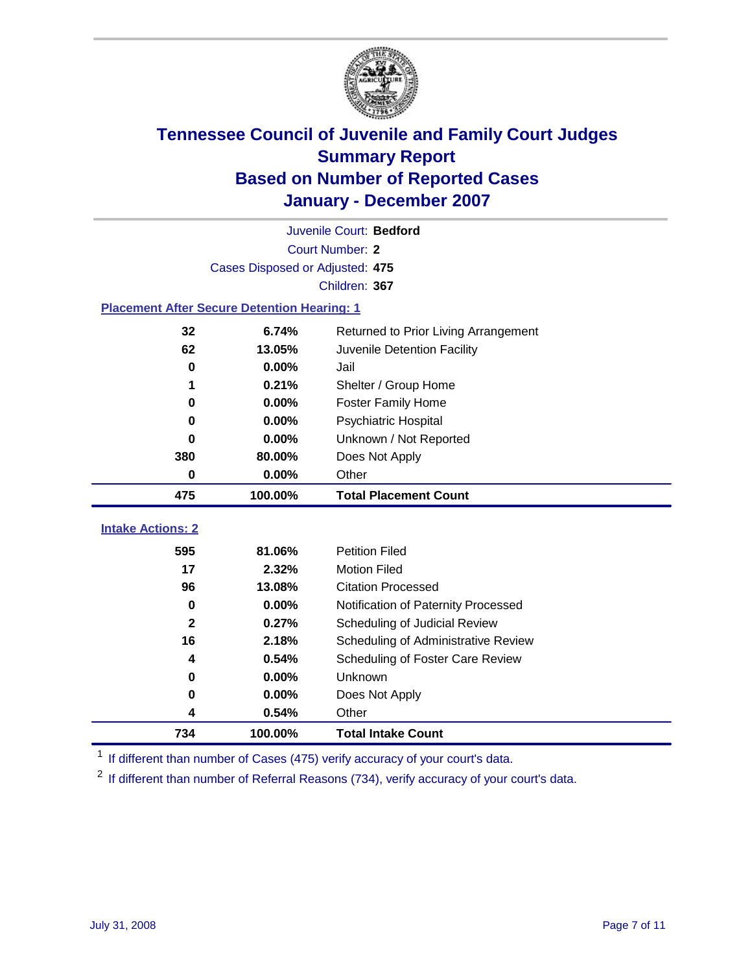

|                                                    | Juvenile Court: Bedford                       |                                     |  |  |  |
|----------------------------------------------------|-----------------------------------------------|-------------------------------------|--|--|--|
| Court Number: 2                                    |                                               |                                     |  |  |  |
| Cases Disposed or Adjusted: 475                    |                                               |                                     |  |  |  |
| Children: 367                                      |                                               |                                     |  |  |  |
| <b>Placement After Secure Detention Hearing: 1</b> |                                               |                                     |  |  |  |
| 32                                                 | 6.74%<br>Returned to Prior Living Arrangement |                                     |  |  |  |
| 62                                                 | 13.05%                                        | Juvenile Detention Facility         |  |  |  |
| $\bf{0}$                                           | 0.00%                                         | Jail                                |  |  |  |
| 1                                                  | 0.21%                                         | Shelter / Group Home                |  |  |  |
| 0                                                  | 0.00%                                         | <b>Foster Family Home</b>           |  |  |  |
| $\bf{0}$                                           | 0.00%                                         | Psychiatric Hospital                |  |  |  |
| 0                                                  | 0.00%                                         | Unknown / Not Reported              |  |  |  |
| 380                                                | 80.00%                                        | Does Not Apply                      |  |  |  |
| 0                                                  | 0.00%                                         | Other                               |  |  |  |
| 475                                                | 100.00%                                       | <b>Total Placement Count</b>        |  |  |  |
| <b>Intake Actions: 2</b>                           |                                               |                                     |  |  |  |
| 595                                                | 81.06%                                        | <b>Petition Filed</b>               |  |  |  |
| 17                                                 | 2.32%                                         | <b>Motion Filed</b>                 |  |  |  |
| 96                                                 | 13.08%                                        | <b>Citation Processed</b>           |  |  |  |
| $\bf{0}$                                           | 0.00%                                         | Notification of Paternity Processed |  |  |  |
| $\overline{2}$                                     | 0.27%                                         | Scheduling of Judicial Review       |  |  |  |
| 16                                                 | 2.18%                                         | Scheduling of Administrative Review |  |  |  |
| 4                                                  | 0.54%                                         | Scheduling of Foster Care Review    |  |  |  |
| $\bf{0}$                                           | 0.00%                                         | Unknown                             |  |  |  |
| $\bf{0}$                                           | 0.00%                                         | Does Not Apply                      |  |  |  |
| 4                                                  | 0.54%                                         | Other                               |  |  |  |
| 734                                                | 100.00%                                       | <b>Total Intake Count</b>           |  |  |  |

<sup>1</sup> If different than number of Cases (475) verify accuracy of your court's data.

<sup>2</sup> If different than number of Referral Reasons (734), verify accuracy of your court's data.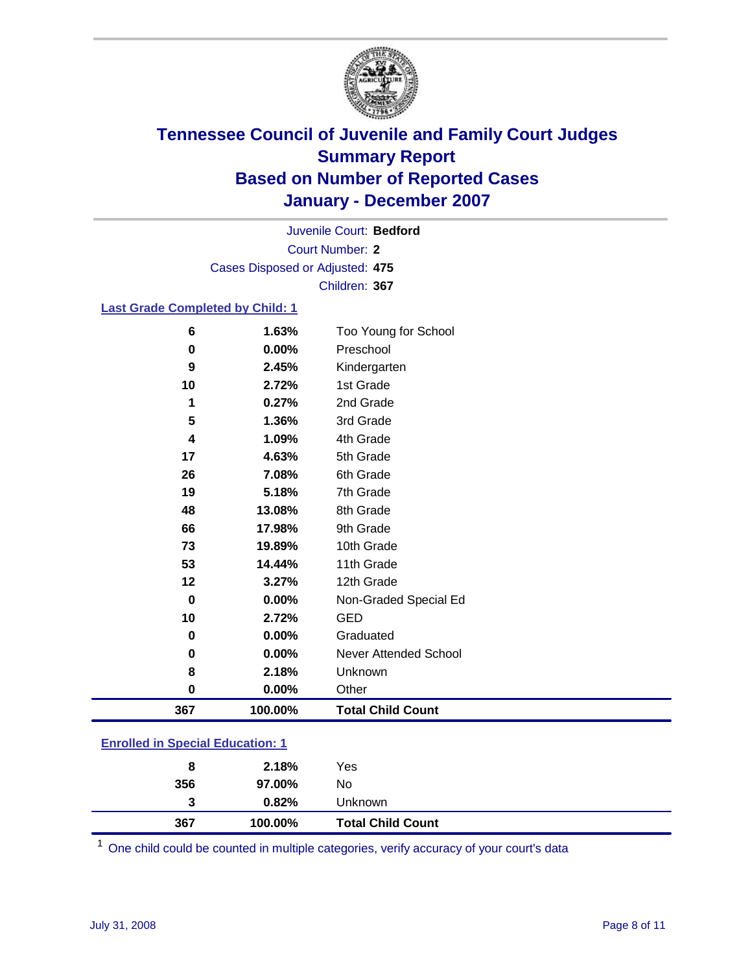

Court Number: **2** Juvenile Court: **Bedford** Cases Disposed or Adjusted: **475** Children: **367**

#### **Last Grade Completed by Child: 1**

| 6           | 1.63%   | Too Young for School     |
|-------------|---------|--------------------------|
| 0           | 0.00%   | Preschool                |
| 9           | 2.45%   | Kindergarten             |
| 10          | 2.72%   | 1st Grade                |
| 1           | 0.27%   | 2nd Grade                |
| 5           | 1.36%   | 3rd Grade                |
| 4           | 1.09%   | 4th Grade                |
| 17          | 4.63%   | 5th Grade                |
| 26          | 7.08%   | 6th Grade                |
| 19          | 5.18%   | 7th Grade                |
| 48          | 13.08%  | 8th Grade                |
| 66          | 17.98%  | 9th Grade                |
| 73          | 19.89%  | 10th Grade               |
| 53          | 14.44%  | 11th Grade               |
| 12          | 3.27%   | 12th Grade               |
| $\mathbf 0$ | 0.00%   | Non-Graded Special Ed    |
| 10          | 2.72%   | <b>GED</b>               |
| 0           | 0.00%   | Graduated                |
| 0           | 0.00%   | Never Attended School    |
| 8           | 2.18%   | Unknown                  |
| $\pmb{0}$   | 0.00%   | Other                    |
| 367         | 100.00% | <b>Total Child Count</b> |

### **Enrolled in Special Education: 1**

| 367 | 100.00% | <b>Total Child Count</b> |  |
|-----|---------|--------------------------|--|
| 3   | 0.82%   | Unknown                  |  |
| 356 | 97.00%  | No                       |  |
| 8   | 2.18%   | Yes                      |  |
|     |         |                          |  |

<sup>1</sup> One child could be counted in multiple categories, verify accuracy of your court's data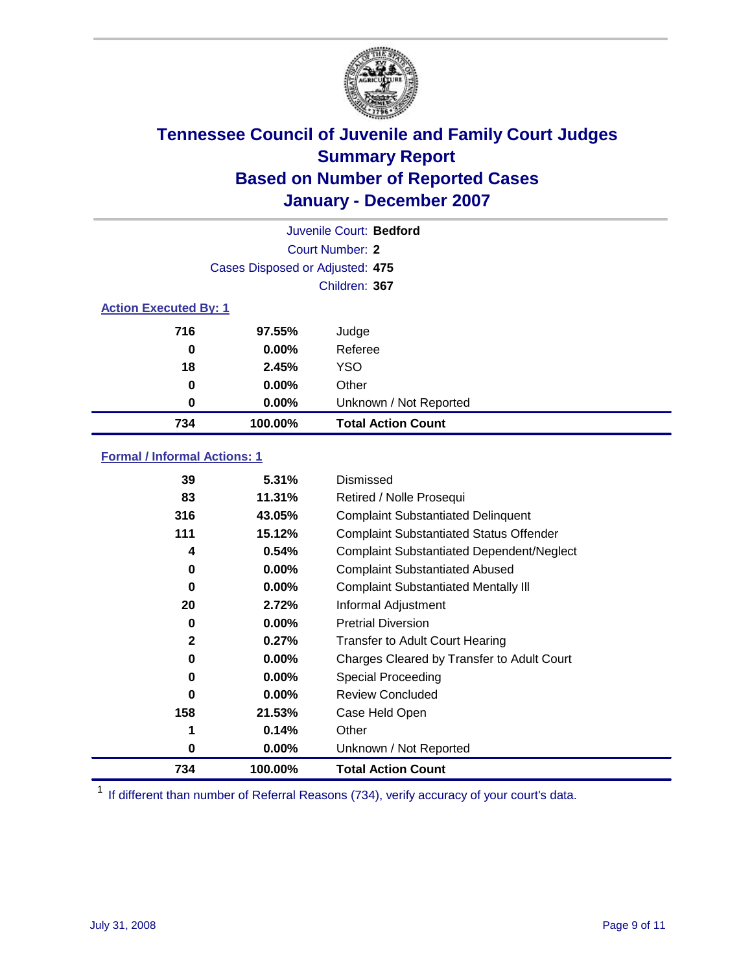

|                              |                                 | Juvenile Court: Bedford   |
|------------------------------|---------------------------------|---------------------------|
|                              |                                 | Court Number: 2           |
|                              | Cases Disposed or Adjusted: 475 |                           |
|                              |                                 | Children: 367             |
| <b>Action Executed By: 1</b> |                                 |                           |
| 716                          | 97.55%                          | Judge                     |
| 0                            | $0.00\%$                        | Referee                   |
| 18                           | 2.45%                           | <b>YSO</b>                |
| 0                            | $0.00\%$                        | Other                     |
| 0                            | $0.00\%$                        | Unknown / Not Reported    |
| 734                          | 100.00%                         | <b>Total Action Count</b> |

### **Formal / Informal Actions: 1**

| 39           | 5.31%    | Dismissed                                        |
|--------------|----------|--------------------------------------------------|
| 83           | 11.31%   | Retired / Nolle Prosequi                         |
| 316          | 43.05%   | <b>Complaint Substantiated Delinquent</b>        |
| 111          | 15.12%   | <b>Complaint Substantiated Status Offender</b>   |
| 4            | 0.54%    | <b>Complaint Substantiated Dependent/Neglect</b> |
| 0            | 0.00%    | <b>Complaint Substantiated Abused</b>            |
| 0            | $0.00\%$ | <b>Complaint Substantiated Mentally III</b>      |
| 20           | 2.72%    | Informal Adjustment                              |
| 0            | $0.00\%$ | <b>Pretrial Diversion</b>                        |
| $\mathbf{2}$ | 0.27%    | <b>Transfer to Adult Court Hearing</b>           |
| 0            | $0.00\%$ | Charges Cleared by Transfer to Adult Court       |
| 0            | 0.00%    | Special Proceeding                               |
| 0            | $0.00\%$ | <b>Review Concluded</b>                          |
| 158          | 21.53%   | Case Held Open                                   |
| 1            | 0.14%    | Other                                            |
| 0            | $0.00\%$ | Unknown / Not Reported                           |
| 734          | 100.00%  | <b>Total Action Count</b>                        |

<sup>1</sup> If different than number of Referral Reasons (734), verify accuracy of your court's data.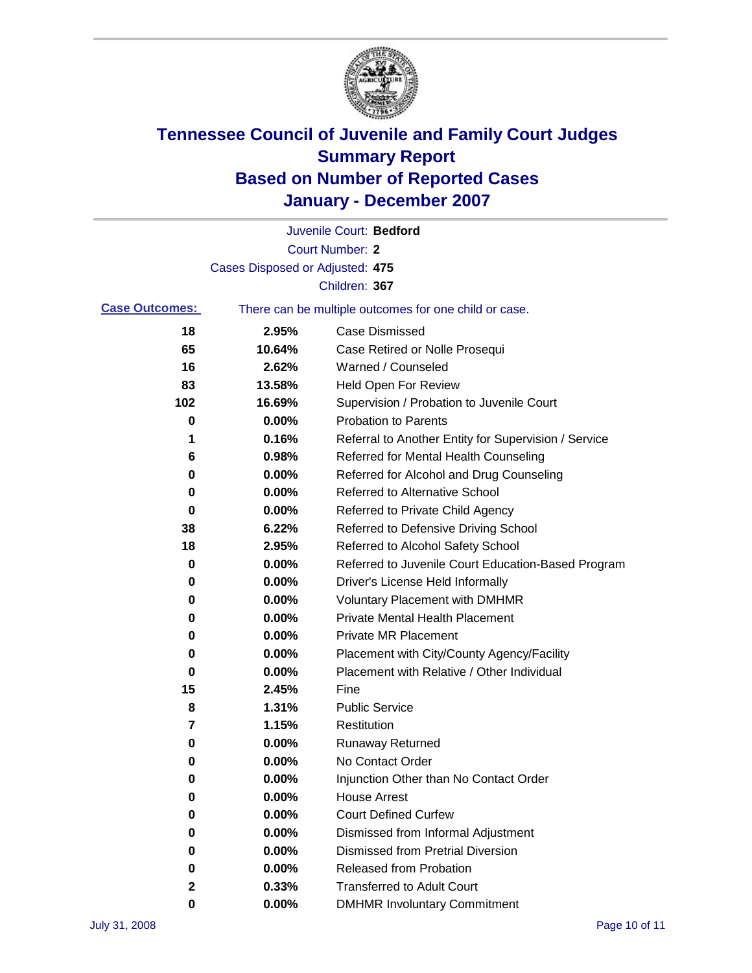

|                       |                                 | Juvenile Court: Bedford                               |
|-----------------------|---------------------------------|-------------------------------------------------------|
|                       |                                 | Court Number: 2                                       |
|                       | Cases Disposed or Adjusted: 475 |                                                       |
|                       |                                 | Children: 367                                         |
| <b>Case Outcomes:</b> |                                 | There can be multiple outcomes for one child or case. |
| 18                    | 2.95%                           | <b>Case Dismissed</b>                                 |
| 65                    | 10.64%                          | Case Retired or Nolle Prosequi                        |
| 16                    | 2.62%                           | Warned / Counseled                                    |
| 83                    | 13.58%                          | Held Open For Review                                  |
| 102                   | 16.69%                          | Supervision / Probation to Juvenile Court             |
| 0                     | 0.00%                           | <b>Probation to Parents</b>                           |
| 1                     | 0.16%                           | Referral to Another Entity for Supervision / Service  |
| 6                     | 0.98%                           | Referred for Mental Health Counseling                 |
| 0                     | 0.00%                           | Referred for Alcohol and Drug Counseling              |
| 0                     | 0.00%                           | <b>Referred to Alternative School</b>                 |
| 0                     | 0.00%                           | Referred to Private Child Agency                      |
| 38                    | 6.22%                           | Referred to Defensive Driving School                  |
| 18                    | 2.95%                           | Referred to Alcohol Safety School                     |
| 0                     | 0.00%                           | Referred to Juvenile Court Education-Based Program    |
| 0                     | 0.00%                           | Driver's License Held Informally                      |
| 0                     | 0.00%                           | <b>Voluntary Placement with DMHMR</b>                 |
| 0                     | 0.00%                           | <b>Private Mental Health Placement</b>                |
| 0                     | 0.00%                           | Private MR Placement                                  |
| 0                     | 0.00%                           | Placement with City/County Agency/Facility            |
| 0                     | 0.00%                           | Placement with Relative / Other Individual            |
| 15                    | 2.45%                           | Fine                                                  |
| 8                     | 1.31%                           | <b>Public Service</b>                                 |
| 7                     | 1.15%                           | Restitution                                           |
| 0                     | 0.00%                           | <b>Runaway Returned</b>                               |
| 0                     | 0.00%                           | No Contact Order                                      |
| 0                     | 0.00%                           | Injunction Other than No Contact Order                |
| 0                     | 0.00%                           | <b>House Arrest</b>                                   |
| 0                     | 0.00%                           | <b>Court Defined Curfew</b>                           |
| 0                     | 0.00%                           | Dismissed from Informal Adjustment                    |
| 0                     | 0.00%                           | <b>Dismissed from Pretrial Diversion</b>              |
| 0                     | 0.00%                           | <b>Released from Probation</b>                        |
| 2                     | 0.33%                           | <b>Transferred to Adult Court</b>                     |
| 0                     | 0.00%                           | <b>DMHMR Involuntary Commitment</b>                   |